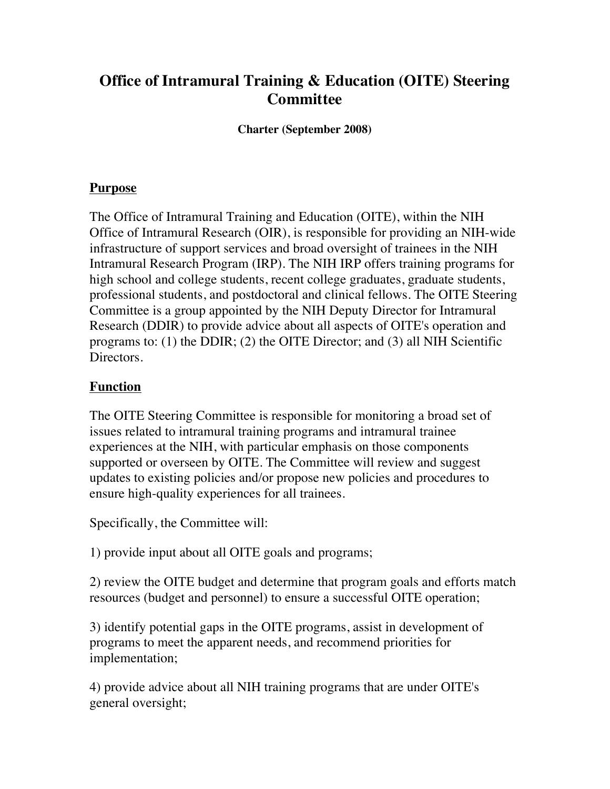# **Office of Intramural Training & Education (OITE) Steering Committee**

**Charter (September 2008)**

#### **Purpose**

The Office of Intramural Training and Education (OITE), within the NIH Office of Intramural Research (OIR), is responsible for providing an NIH-wide infrastructure of support services and broad oversight of trainees in the NIH Intramural Research Program (IRP). The NIH IRP offers training programs for high school and college students, recent college graduates, graduate students, professional students, and postdoctoral and clinical fellows. The OITE Steering Committee is a group appointed by the NIH Deputy Director for Intramural Research (DDIR) to provide advice about all aspects of OITE's operation and programs to: (1) the DDIR; (2) the OITE Director; and (3) all NIH Scientific Directors.

## **Function**

The OITE Steering Committee is responsible for monitoring a broad set of issues related to intramural training programs and intramural trainee experiences at the NIH, with particular emphasis on those components supported or overseen by OITE. The Committee will review and suggest updates to existing policies and/or propose new policies and procedures to ensure high-quality experiences for all trainees.

Specifically, the Committee will:

1) provide input about all OITE goals and programs;

2) review the OITE budget and determine that program goals and efforts match resources (budget and personnel) to ensure a successful OITE operation;

3) identify potential gaps in the OITE programs, assist in development of programs to meet the apparent needs, and recommend priorities for implementation;

4) provide advice about all NIH training programs that are under OITE's general oversight;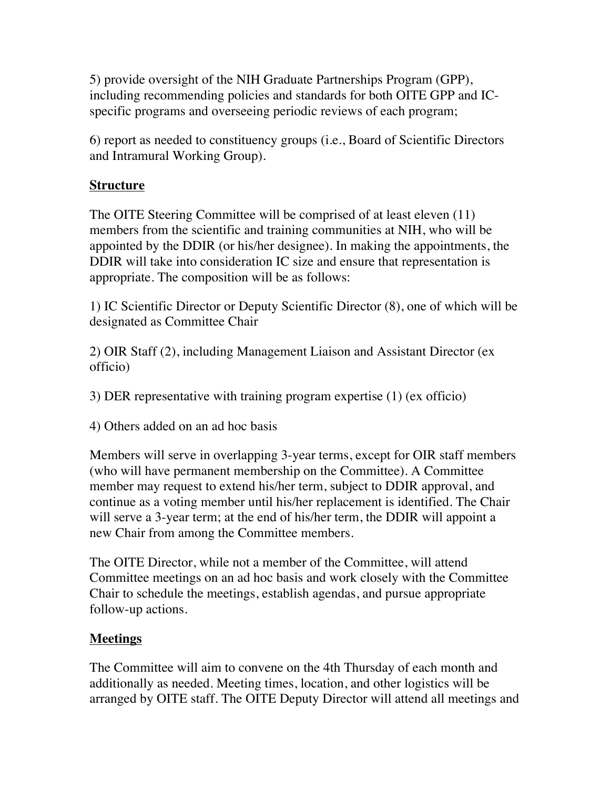5) provide oversight of the NIH Graduate Partnerships Program (GPP), including recommending policies and standards for both OITE GPP and ICspecific programs and overseeing periodic reviews of each program;

6) report as needed to constituency groups (i.e., Board of Scientific Directors and Intramural Working Group).

# **Structure**

The OITE Steering Committee will be comprised of at least eleven (11) members from the scientific and training communities at NIH, who will be appointed by the DDIR (or his/her designee). In making the appointments, the DDIR will take into consideration IC size and ensure that representation is appropriate. The composition will be as follows:

1) IC Scientific Director or Deputy Scientific Director (8), one of which will be designated as Committee Chair

2) OIR Staff (2), including Management Liaison and Assistant Director (ex officio)

3) DER representative with training program expertise (1) (ex officio)

4) Others added on an ad hoc basis

Members will serve in overlapping 3-year terms, except for OIR staff members (who will have permanent membership on the Committee). A Committee member may request to extend his/her term, subject to DDIR approval, and continue as a voting member until his/her replacement is identified. The Chair will serve a 3-year term; at the end of his/her term, the DDIR will appoint a new Chair from among the Committee members.

The OITE Director, while not a member of the Committee, will attend Committee meetings on an ad hoc basis and work closely with the Committee Chair to schedule the meetings, establish agendas, and pursue appropriate follow-up actions.

#### **Meetings**

The Committee will aim to convene on the 4th Thursday of each month and additionally as needed. Meeting times, location, and other logistics will be arranged by OITE staff. The OITE Deputy Director will attend all meetings and